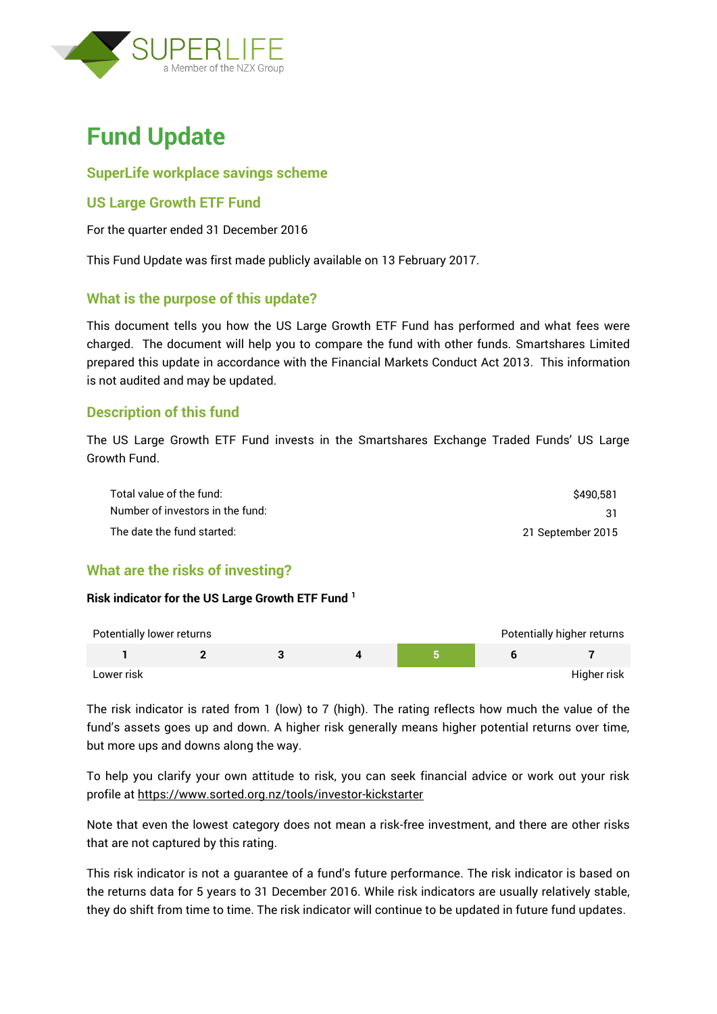

# **Fund Update**

## **SuperLife workplace savings scheme**

## **US Large Growth ETF Fund**

For the quarter ended 31 December 2016

This Fund Update was first made publicly available on 13 February 2017.

## **What is the purpose of this update?**

This document tells you how the US Large Growth ETF Fund has performed and what fees were charged. The document will help you to compare the fund with other funds. Smartshares Limited prepared this update in accordance with the Financial Markets Conduct Act 2013. This information is not audited and may be updated.

### **Description of this fund**

The US Large Growth ETF Fund invests in the Smartshares Exchange Traded Funds' US Large Growth Fund.

| Total value of the fund:         | \$490.581         |
|----------------------------------|-------------------|
| Number of investors in the fund: |                   |
| The date the fund started:       | 21 September 2015 |

### **What are the risks of investing?**

#### **Risk indicator for the US Large Growth ETF Fund <sup>1</sup>**

| Potentially lower returns |  |  | Potentially higher returns |
|---------------------------|--|--|----------------------------|
|                           |  |  |                            |
| Lower risk                |  |  | Higher risk                |

The risk indicator is rated from 1 (low) to 7 (high). The rating reflects how much the value of the fund's assets goes up and down. A higher risk generally means higher potential returns over time, but more ups and downs along the way.

To help you clarify your own attitude to risk, you can seek financial advice or work out your risk profile at<https://www.sorted.org.nz/tools/investor-kickstarter>

Note that even the lowest category does not mean a risk-free investment, and there are other risks that are not captured by this rating.

This risk indicator is not a guarantee of a fund's future performance. The risk indicator is based on the returns data for 5 years to 31 December 2016. While risk indicators are usually relatively stable, they do shift from time to time. The risk indicator will continue to be updated in future fund updates.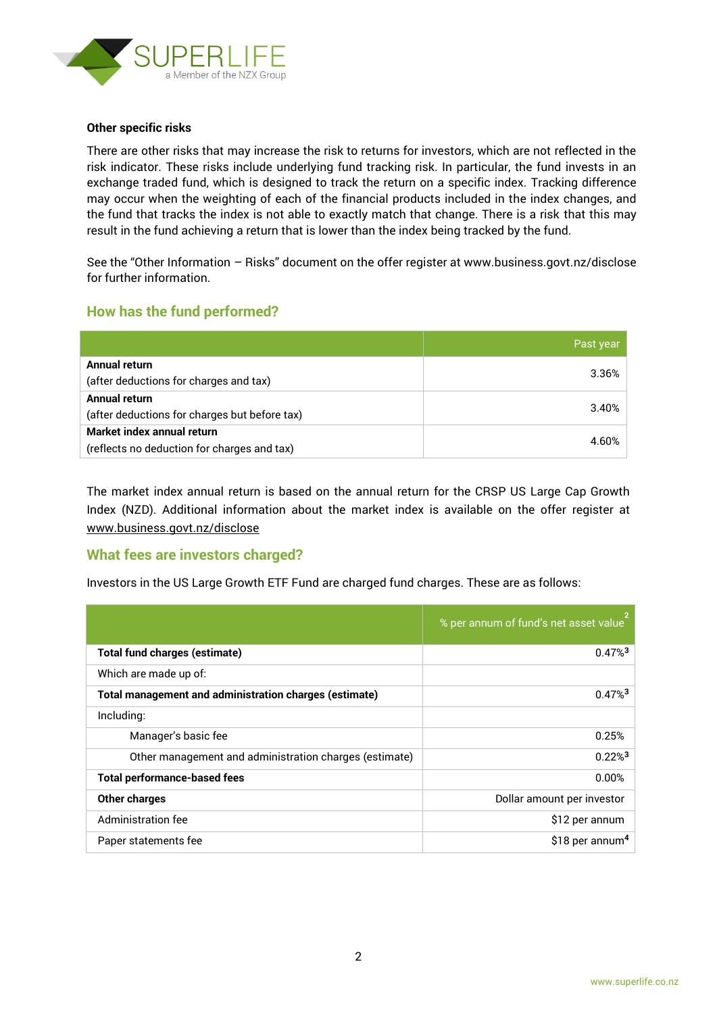

#### **Other specific risks**

There are other risks that may increase the risk to returns for investors, which are not reflected in the risk indicator. These risks include underlying fund tracking risk. In particular, the fund invests in an exchange traded fund, which is designed to track the return on a specific index. Tracking difference may occur when the weighting of each of the financial products included in the index changes, and the fund that tracks the index is not able to exactly match that change. There is a risk that this may result in the fund achieving a return that is lower than the index being tracked by the fund.

See the "Other Information – Risks" document on the offer register at www.business.govt.nz/disclose for further information.

### **How has the fund performed?**

|                                               | Past year |
|-----------------------------------------------|-----------|
| Annual return                                 | 3.36%     |
| (after deductions for charges and tax)        |           |
| Annual return                                 | 3.40%     |
| (after deductions for charges but before tax) |           |
| Market index annual return                    |           |
| (reflects no deduction for charges and tax)   | 4.60%     |

The market index annual return is based on the annual return for the CRSP US Large Cap Growth Index (NZD). Additional information about the market index is available on the offer register at [www.business.govt.nz/disclose](http://www.business.govt.nz/disclose)

#### **What fees are investors charged?**

Investors in the US Large Growth ETF Fund are charged fund charges. These are as follows:

|                                                        | % per annum of fund's net asset value |
|--------------------------------------------------------|---------------------------------------|
| <b>Total fund charges (estimate)</b>                   | $0.47\%$ <sup>3</sup>                 |
| Which are made up of:                                  |                                       |
| Total management and administration charges (estimate) | $0.47\%$ <sup>3</sup>                 |
| Including:                                             |                                       |
| Manager's basic fee                                    | 0.25%                                 |
| Other management and administration charges (estimate) | $0.22\%$ <sup>3</sup>                 |
| <b>Total performance-based fees</b>                    | 0.00%                                 |
| <b>Other charges</b>                                   | Dollar amount per investor            |
| Administration fee                                     | \$12 per annum                        |
| Paper statements fee                                   | \$18 per annum <sup>4</sup>           |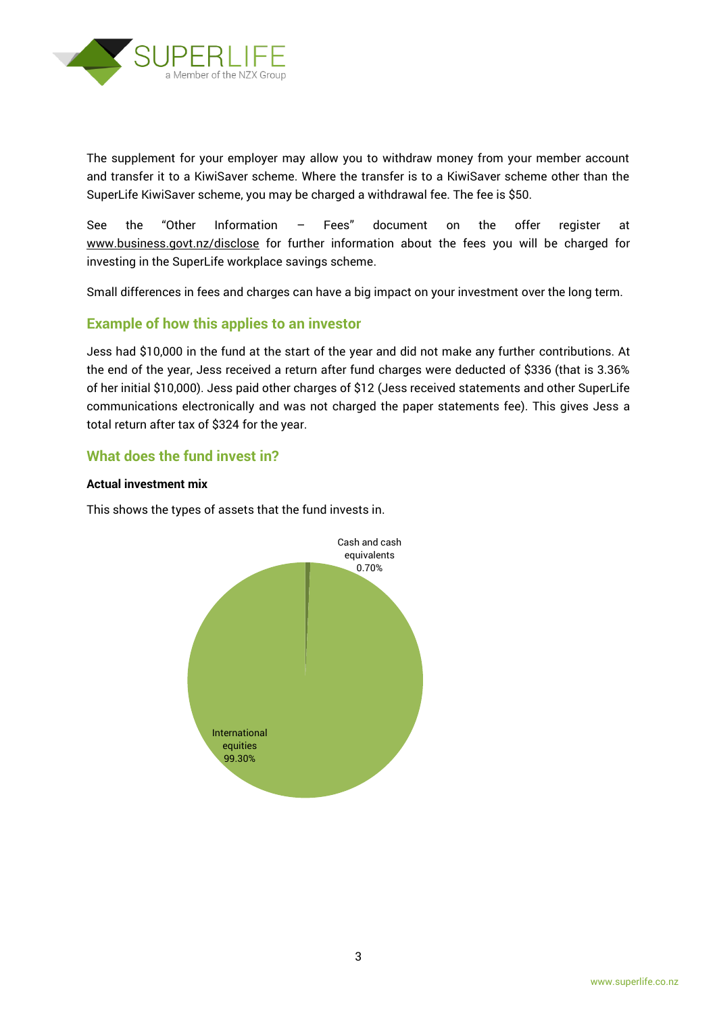

The supplement for your employer may allow you to withdraw money from your member account and transfer it to a KiwiSaver scheme. Where the transfer is to a KiwiSaver scheme other than the SuperLife KiwiSaver scheme, you may be charged a withdrawal fee. The fee is \$50.

See the "Other Information – Fees" document on the offer register at www.business.govt.nz/disclose for further information about the fees you will be charged for investing in the SuperLife workplace savings scheme.

Small differences in fees and charges can have a big impact on your investment over the long term.

### **Example of how this applies to an investor**

Jess had \$10,000 in the fund at the start of the year and did not make any further contributions. At the end of the year, Jess received a return after fund charges were deducted of \$336 (that is 3.36% of her initial \$10,000). Jess paid other charges of \$12 (Jess received statements and other SuperLife communications electronically and was not charged the paper statements fee). This gives Jess a total return after tax of \$324 for the year.

## **What does the fund invest in?**

#### **Actual investment mix**

This shows the types of assets that the fund invests in.

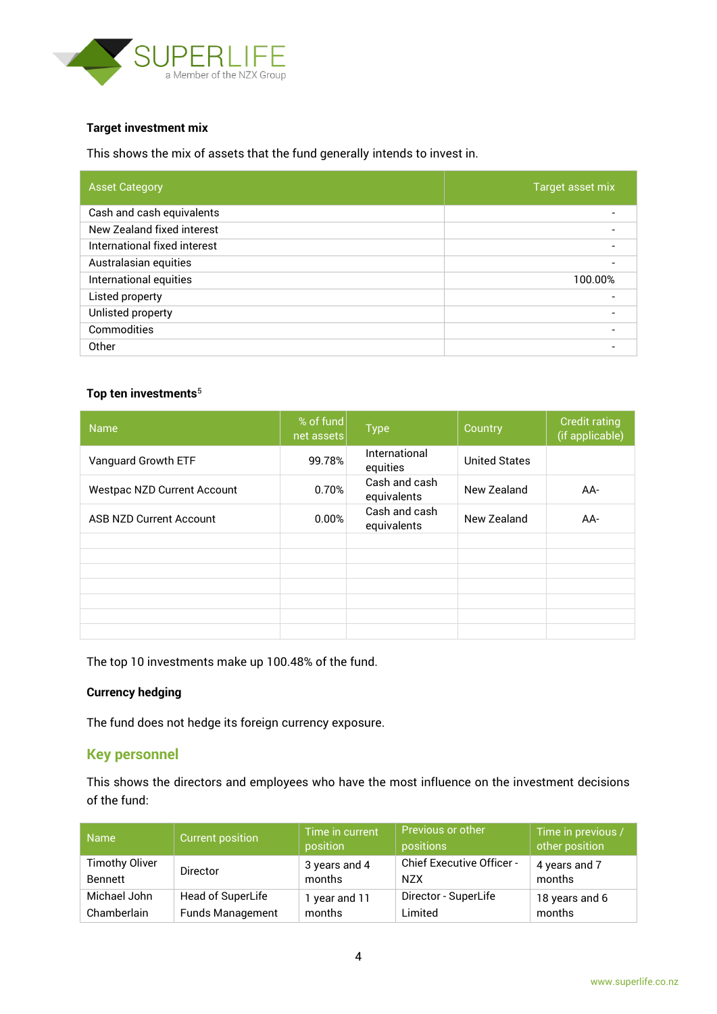

#### **Target investment mix**

This shows the mix of assets that the fund generally intends to invest in.

| <b>Asset Category</b>        | Target asset mix |
|------------------------------|------------------|
| Cash and cash equivalents    |                  |
| New Zealand fixed interest   |                  |
| International fixed interest |                  |
| Australasian equities        |                  |
| International equities       | 100.00%          |
| Listed property              |                  |
| Unlisted property            |                  |
| Commodities                  |                  |
| Other                        |                  |

#### **Top ten investments**<sup>5</sup>

| <b>Name</b>                        | % of fund<br>net assets | <b>Type</b>                  | Country              | <b>Credit rating</b><br>(if applicable) |
|------------------------------------|-------------------------|------------------------------|----------------------|-----------------------------------------|
| Vanguard Growth ETF                | 99.78%                  | International<br>equities    | <b>United States</b> |                                         |
| <b>Westpac NZD Current Account</b> | 0.70%                   | Cash and cash<br>equivalents | New Zealand          | AA-                                     |
| <b>ASB NZD Current Account</b>     | 0.00%                   | Cash and cash<br>equivalents | New Zealand          | $AA-$                                   |
|                                    |                         |                              |                      |                                         |
|                                    |                         |                              |                      |                                         |
|                                    |                         |                              |                      |                                         |
|                                    |                         |                              |                      |                                         |
|                                    |                         |                              |                      |                                         |
|                                    |                         |                              |                      |                                         |
|                                    |                         |                              |                      |                                         |

The top 10 investments make up 100.48% of the fund.

#### **Currency hedging**

The fund does not hedge its foreign currency exposure.

### **Key personnel**

This shows the directors and employees who have the most influence on the investment decisions of the fund:

| <b>Name</b>           | <b>Current position</b> | Time in current<br>position | <b>Previous or other</b><br>positions | Time in previous /<br>other position |
|-----------------------|-------------------------|-----------------------------|---------------------------------------|--------------------------------------|
| <b>Timothy Oliver</b> | <b>Director</b>         | 3 years and 4               | Chief Executive Officer -             | 4 years and 7                        |
| <b>Bennett</b>        |                         | months                      | <b>NZX</b>                            | months                               |
| Michael John          | Head of SuperLife       | 1 year and 11               | Director - SuperLife                  | 18 years and 6                       |
| Chamberlain           | <b>Funds Management</b> | months                      | Limited                               | months                               |